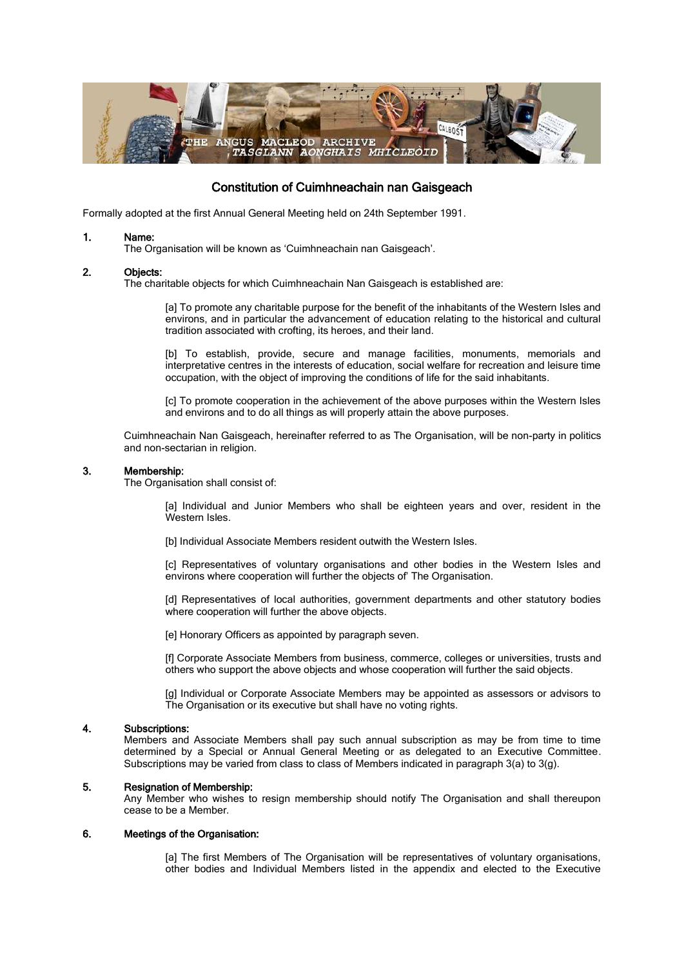

# Constitution of Cuimhneachain nan Gaisgeach

Formally adopted at the first Annual General Meeting held on 24th September 1991.

## 1. Name:

The Organisation will be known as 'Cuimhneachain nan Gaisgeach'.

#### 2. Objects:

The charitable objects for which Cuimhneachain Nan Gaisgeach is established are:

[a] To promote any charitable purpose for the benefit of the inhabitants of the Western Isles and environs, and in particular the advancement of education relating to the historical and cultural tradition associated with crofting, its heroes, and their land.

[b] To establish, provide, secure and manage facilities, monuments, memorials and interpretative centres in the interests of education, social welfare for recreation and leisure time occupation, with the object of improving the conditions of life for the said inhabitants.

[c] To promote cooperation in the achievement of the above purposes within the Western Isles and environs and to do all things as will properly attain the above purposes.

Cuimhneachain Nan Gaisgeach, hereinafter referred to as The Organisation, will be non-party in politics and non-sectarian in religion.

#### 3. Membership:

The Organisation shall consist of:

[a] Individual and Junior Members who shall be eighteen years and over, resident in the Western Isles.

[b] Individual Associate Members resident outwith the Western Isles.

[c] Representatives of voluntary organisations and other bodies in the Western Isles and environs where cooperation will further the objects of' The Organisation.

[d] Representatives of local authorities, government departments and other statutory bodies where cooperation will further the above objects.

[e] Honorary Officers as appointed by paragraph seven.

[f] Corporate Associate Members from business, commerce, colleges or universities, trusts and others who support the above objects and whose cooperation will further the said objects.

[g] Individual or Corporate Associate Members may be appointed as assessors or advisors to The Organisation or its executive but shall have no voting rights.

#### 4. Subscriptions:

Members and Associate Members shall pay such annual subscription as may be from time to time determined by a Special or Annual General Meeting or as delegated to an Executive Committee. Subscriptions may be varied from class to class of Members indicated in paragraph 3(a) to 3(g).

#### 5. Resignation of Membership:

Any Member who wishes to resign membership should notify The Organisation and shall thereupon cease to be a Member.

## 6. Meetings of the Organisation:

[a] The first Members of The Organisation will be representatives of voluntary organisations, other bodies and Individual Members listed in the appendix and elected to the Executive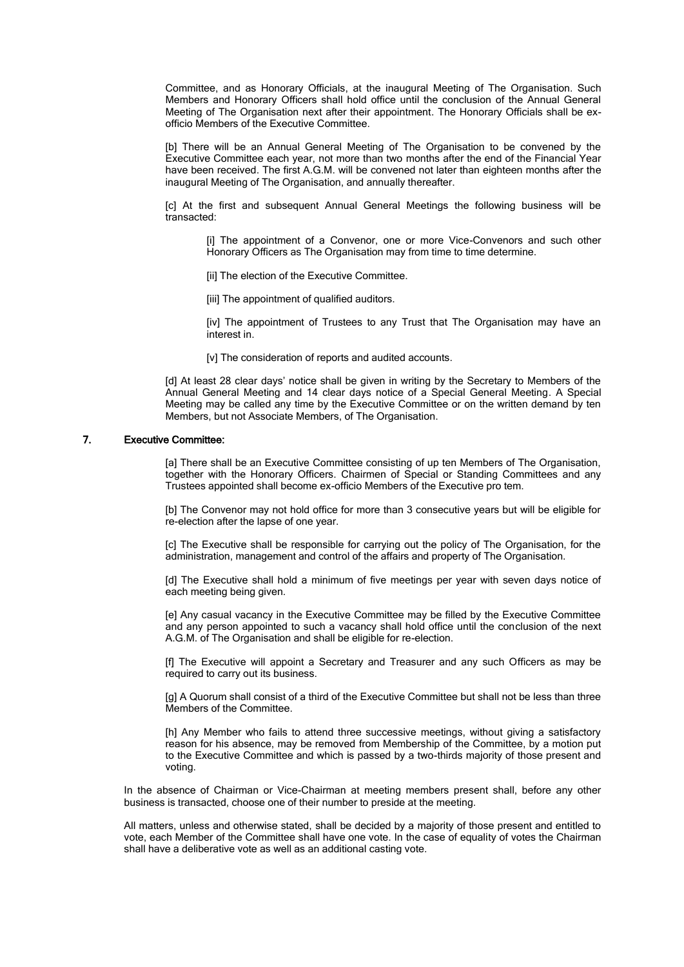Committee, and as Honorary Officials, at the inaugural Meeting of The Organisation. Such Members and Honorary Officers shall hold office until the conclusion of the Annual General Meeting of The Organisation next after their appointment. The Honorary Officials shall be exofficio Members of the Executive Committee.

[b] There will be an Annual General Meeting of The Organisation to be convened by the Executive Committee each year, not more than two months after the end of the Financial Year have been received. The first A.G.M. will be convened not later than eighteen months after the inaugural Meeting of The Organisation, and annually thereafter.

[c] At the first and subsequent Annual General Meetings the following business will be transacted:

[i] The appointment of a Convenor, one or more Vice-Convenors and such other Honorary Officers as The Organisation may from time to time determine.

[ii] The election of the Executive Committee.

[iii] The appointment of qualified auditors.

[iv] The appointment of Trustees to any Trust that The Organisation may have an interest in.

[v] The consideration of reports and audited accounts.

[d] At least 28 clear days' notice shall be given in writing by the Secretary to Members of the Annual General Meeting and 14 clear days notice of a Special General Meeting. A Special Meeting may be called any time by the Executive Committee or on the written demand by ten Members, but not Associate Members, of The Organisation.

## 7. Executive Committee:

[a] There shall be an Executive Committee consisting of up ten Members of The Organisation, together with the Honorary Officers. Chairmen of Special or Standing Committees and any Trustees appointed shall become ex-officio Members of the Executive pro tem.

[b] The Convenor may not hold office for more than 3 consecutive years but will be eligible for re-election after the lapse of one year.

[c] The Executive shall be responsible for carrying out the policy of The Organisation, for the administration, management and control of the affairs and property of The Organisation.

[d] The Executive shall hold a minimum of five meetings per year with seven days notice of each meeting being given.

[e] Any casual vacancy in the Executive Committee may be filled by the Executive Committee and any person appointed to such a vacancy shall hold office until the conclusion of the next A.G.M. of The Organisation and shall be eligible for re-election.

[f] The Executive will appoint a Secretary and Treasurer and any such Officers as may be required to carry out its business.

[g] A Quorum shall consist of a third of the Executive Committee but shall not be less than three Members of the Committee.

[h] Any Member who fails to attend three successive meetings, without giving a satisfactory reason for his absence, may be removed from Membership of the Committee, by a motion put to the Executive Committee and which is passed by a two-thirds majority of those present and voting.

In the absence of Chairman or Vice-Chairman at meeting members present shall, before any other business is transacted, choose one of their number to preside at the meeting.

All matters, unless and otherwise stated, shall be decided by a majority of those present and entitled to vote, each Member of the Committee shall have one vote. In the case of equality of votes the Chairman shall have a deliberative vote as well as an additional casting vote.